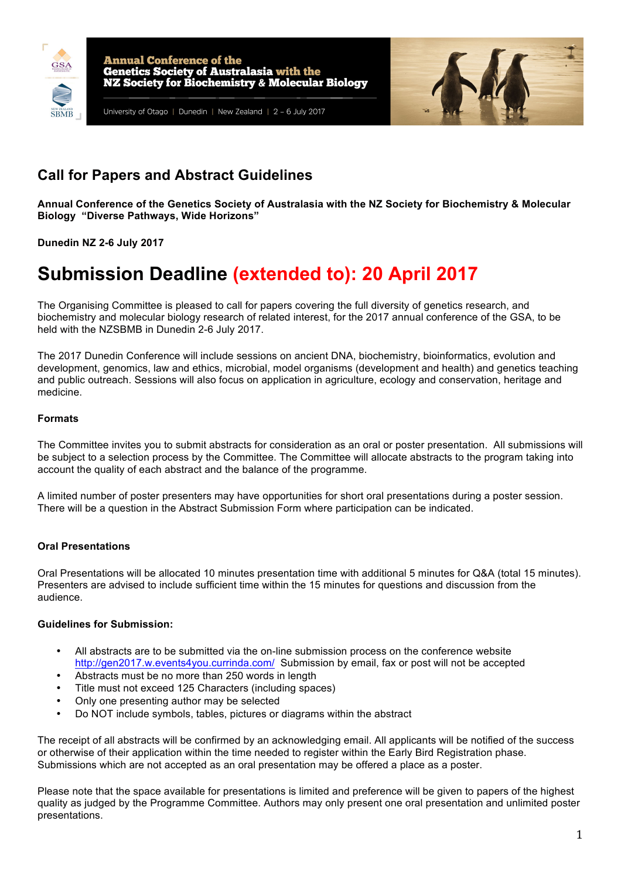



# **Call for Papers and Abstract Guidelines**

**Annual Conference of the Genetics Society of Australasia with the NZ Society for Biochemistry & Molecular Biology "Diverse Pathways, Wide Horizons"**

**Dunedin NZ 2-6 July 2017**

# **Submission Deadline (extended to): 20 April 2017**

The Organising Committee is pleased to call for papers covering the full diversity of genetics research, and biochemistry and molecular biology research of related interest, for the 2017 annual conference of the GSA, to be held with the NZSBMB in Dunedin 2-6 July 2017.

The 2017 Dunedin Conference will include sessions on ancient DNA, biochemistry, bioinformatics, evolution and development, genomics, law and ethics, microbial, model organisms (development and health) and genetics teaching and public outreach. Sessions will also focus on application in agriculture, ecology and conservation, heritage and medicine.

# **Formats**

The Committee invites you to submit abstracts for consideration as an oral or poster presentation. All submissions will be subject to a selection process by the Committee. The Committee will allocate abstracts to the program taking into account the quality of each abstract and the balance of the programme.

A limited number of poster presenters may have opportunities for short oral presentations during a poster session. There will be a question in the Abstract Submission Form where participation can be indicated.

# **Oral Presentations**

Oral Presentations will be allocated 10 minutes presentation time with additional 5 minutes for Q&A (total 15 minutes). Presenters are advised to include sufficient time within the 15 minutes for questions and discussion from the audience.

# **Guidelines for Submission:**

- All abstracts are to be submitted via the on-line submission process on the conference website http://gen2017.w.events4you.currinda.com/ Submission by email, fax or post will not be accepted
- Abstracts must be no more than 250 words in length
- Title must not exceed 125 Characters (including spaces)
- Only one presenting author may be selected
- Do NOT include symbols, tables, pictures or diagrams within the abstract

The receipt of all abstracts will be confirmed by an acknowledging email. All applicants will be notified of the success or otherwise of their application within the time needed to register within the Early Bird Registration phase. Submissions which are not accepted as an oral presentation may be offered a place as a poster.

Please note that the space available for presentations is limited and preference will be given to papers of the highest quality as judged by the Programme Committee. Authors may only present one oral presentation and unlimited poster presentations.